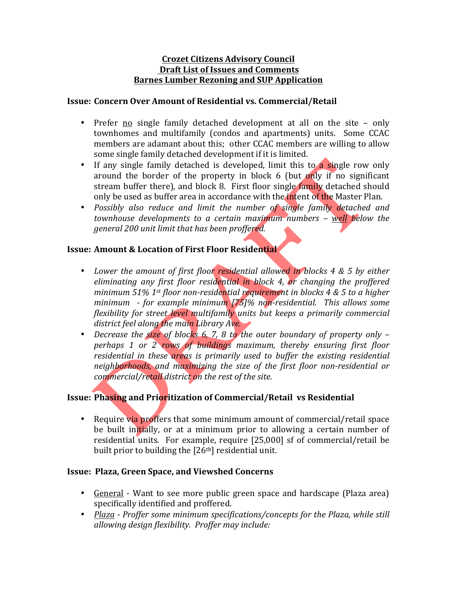#### **Crozet Citizens Advisory Council Draft List of Issues and Comments Barnes Lumber Rezoning and SUP Application**

#### **Issue: Concern Over Amount of Residential vs. Commercial/Retail**

- Prefer no single family detached development at all on the site only townhomes and multifamily (condos and apartments) units. Some CCAC members are adamant about this; other CCAC members are willing to allow some single family detached development if it is limited.
- If any single family detached is developed, limit this to a single row only around the border of the property in block 6 (but only if no significant stream buffer there), and block 8. First floor single family detached should only be used as buffer area in accordance with the intent of the Master Plan.
- Possibly also reduce and limit the number of single family detached and *townhouse developments to a certain maximum numbers – well below the general* 200 unit limit that has been proffered.

## **Issue: Amount & Location of First Floor Residential**

- Lower the amount of first floor residential allowed in blocks 4 & 5 by either *eliminating any first floor residential in block 4, or changing the proffered minimum* 51% 1<sup>st</sup> floor non-residential requirement in blocks 4 & 5 to a higher *minimum - for example minimum [75]% non-residential. This allows some flexibility for street level multifamily units but keeps a primarily commercial district feel along the main Library Ave.*
- Decrease the size of blocks 6, 7, 8 to the outer boundary of property only *perhaps* 1 or 2 rows of buildings maximum, thereby ensuring first floor *residential in these areas is primarily used to buffer the existing residential neighborhoods, and maximizing the size of the first floor non-residential or commercial/retail district on the rest of the site.*

## **Issue: Phasing and Prioritization of Commercial/Retail vs Residential**

• Require via proffers that some minimum amount of commercial/retail space be built initially, or at a minimum prior to allowing a certain number of residential units. For example, require [25,000] sf of commercial/retail be built prior to building the [26<sup>th</sup>] residential unit.

## **Issue: Plaza, Green Space, and Viewshed Concerns**

- General Want to see more public green space and hardscape (Plaza area) specifically identified and proffered.
- Plaza *-* Proffer some minimum specifications/concepts for the Plaza, while still *allowing design flexibility. Proffer may include:*